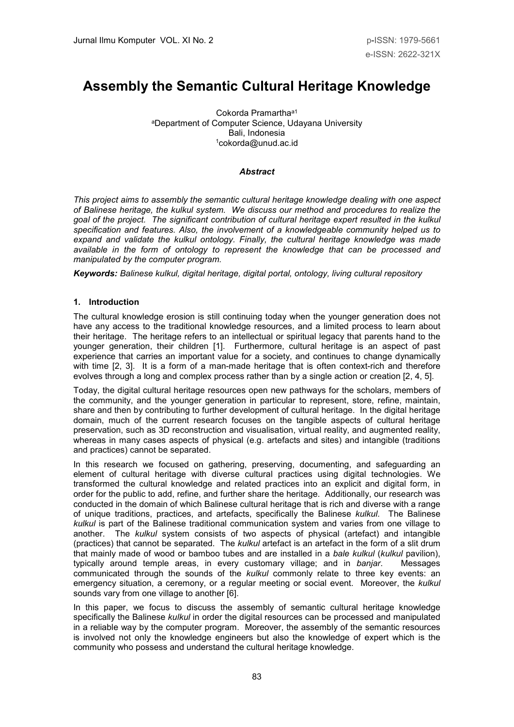# **Assembly the Semantic Cultural Heritage Knowledge**

Cokorda Pramarthaa1 <sup>a</sup>Department of Computer Science, Udayana University Bali, Indonesia <sup>1</sup>cokorda@unud.ac.id

#### *Abstract*

*This project aims to assembly the semantic cultural heritage knowledge dealing with one aspect of Balinese heritage, the kulkul system. We discuss our method and procedures to realize the goal of the project. The significant contribution of cultural heritage expert resulted in the kulkul specification and features. Also, the involvement of a knowledgeable community helped us to expand and validate the kulkul ontology. Finally, the cultural heritage knowledge was made available in the form of ontology to represent the knowledge that can be processed and manipulated by the computer program.* 

*Keywords: Balinese kulkul, digital heritage, digital portal, ontology, living cultural repository*

### **1. Introduction**

The cultural knowledge erosion is still continuing today when the younger generation does not have any access to the traditional knowledge resources, and a limited process to learn about their heritage. The heritage refers to an intellectual or spiritual legacy that parents hand to the younger generation, their children [1]. Furthermore, cultural heritage is an aspect of past experience that carries an important value for a society, and continues to change dynamically with time [2, 3]. It is a form of a man-made heritage that is often context-rich and therefore evolves through a long and complex process rather than by a single action or creation [2, 4, 5].

Today, the digital cultural heritage resources open new pathways for the scholars, members of the community, and the younger generation in particular to represent, store, refine, maintain, share and then by contributing to further development of cultural heritage. In the digital heritage domain, much of the current research focuses on the tangible aspects of cultural heritage preservation, such as 3D reconstruction and visualisation, virtual reality, and augmented reality, whereas in many cases aspects of physical (e.g. artefacts and sites) and intangible (traditions and practices) cannot be separated.

In this research we focused on gathering, preserving, documenting, and safeguarding an element of cultural heritage with diverse cultural practices using digital technologies. We transformed the cultural knowledge and related practices into an explicit and digital form, in order for the public to add, refine, and further share the heritage. Additionally, our research was conducted in the domain of which Balinese cultural heritage that is rich and diverse with a range of unique traditions, practices, and artefacts, specifically the Balinese *kulkul*. The Balinese *kulkul* is part of the Balinese traditional communication system and varies from one village to another. The *kulkul* system consists of two aspects of physical (artefact) and intangible (practices) that cannot be separated. The *kulkul* artefact is an artefact in the form of a slit drum that mainly made of wood or bamboo tubes and are installed in a *bale kulkul* (*kulkul* pavilion), typically around temple areas, in every customary village; and in *banjar*. Messages communicated through the sounds of the *kulkul* commonly relate to three key events: an emergency situation, a ceremony, or a regular meeting or social event. Moreover, the *kulkul*  sounds vary from one village to another [6].

In this paper, we focus to discuss the assembly of semantic cultural heritage knowledge specifically the Balinese *kulkul* in order the digital resources can be processed and manipulated in a reliable way by the computer program. Moreover, the assembly of the semantic resources is involved not only the knowledge engineers but also the knowledge of expert which is the community who possess and understand the cultural heritage knowledge.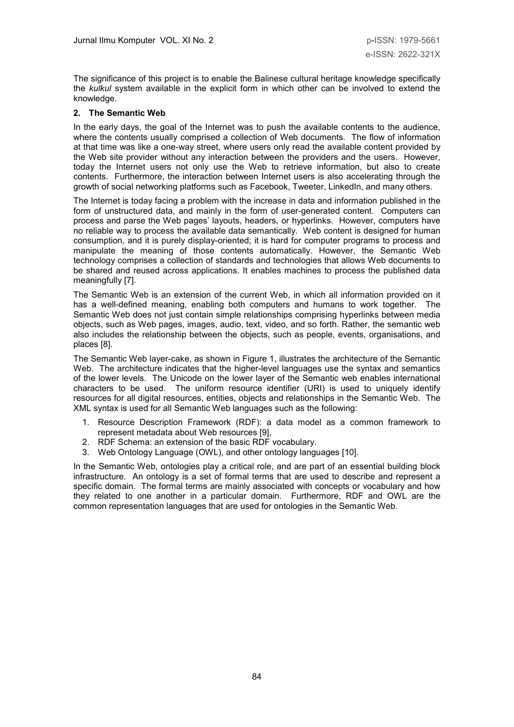The significance of this project is to enable the Balinese cultural heritage knowledge specifically the *kulkul* system available in the explicit form in which other can be involved to extend the knowledge.

## **2. The Semantic Web**

In the early days, the goal of the Internet was to push the available contents to the audience, where the contents usually comprised a collection of Web documents. The flow of information at that time was like a one-way street, where users only read the available content provided by the Web site provider without any interaction between the providers and the users. However, today the Internet users not only use the Web to retrieve information, but also to create contents. Furthermore, the interaction between Internet users is also accelerating through the growth of social networking platforms such as Facebook, Tweeter, LinkedIn, and many others.

The Internet is today facing a problem with the increase in data and information published in the form of unstructured data, and mainly in the form of user-generated content. Computers can process and parse the Web pages' layouts, headers, or hyperlinks. However, computers have no reliable way to process the available data semantically. Web content is designed for human consumption, and it is purely display-oriented; it is hard for computer programs to process and manipulate the meaning of those contents automatically. However, the Semantic Web technology comprises a collection of standards and technologies that allows Web documents to be shared and reused across applications. It enables machines to process the published data meaningfully [7].

The Semantic Web is an extension of the current Web, in which all information provided on it has a well-defined meaning, enabling both computers and humans to work together. The Semantic Web does not just contain simple relationships comprising hyperlinks between media objects, such as Web pages, images, audio, text, video, and so forth. Rather, the semantic web also includes the relationship between the objects, such as people, events, organisations, and places [8].

The Semantic Web layer-cake, as shown in Figure 1, illustrates the architecture of the Semantic Web. The architecture indicates that the higher-level languages use the syntax and semantics of the lower levels. The Unicode on the lower layer of the Semantic web enables international characters to be used. The uniform resource identifier (URI) is used to uniquely identify resources for all digital resources, entities, objects and relationships in the Semantic Web. The XML syntax is used for all Semantic Web languages such as the following:

- 1. Resource Description Framework (RDF): a data model as a common framework to represent metadata about Web resources [9],
- 2. RDF Schema: an extension of the basic RDF vocabulary.
- 3. Web Ontology Language (OWL), and other ontology languages [10].

In the Semantic Web, ontologies play a critical role, and are part of an essential building block infrastructure. An ontology is a set of formal terms that are used to describe and represent a specific domain. The formal terms are mainly associated with concepts or vocabulary and how they related to one another in a particular domain. Furthermore, RDF and OWL are the common representation languages that are used for ontologies in the Semantic Web.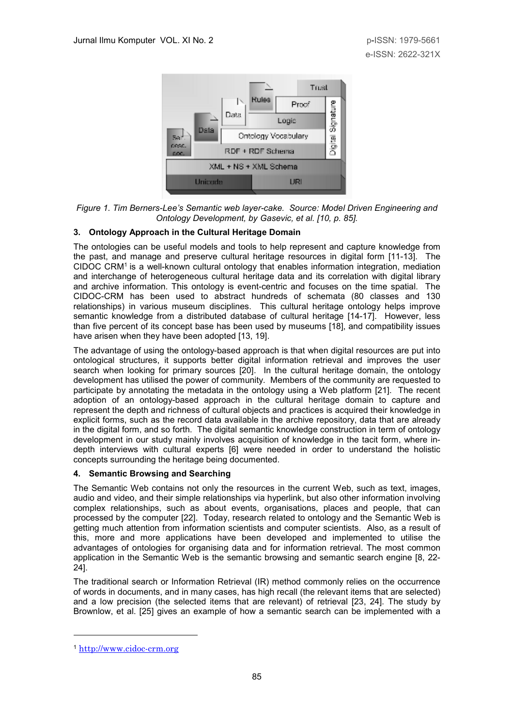

*Figure 1. Tim Berners-Lee's Semantic web layer-cake. Source: Model Driven Engineering and Ontology Development, by Gasevic, et al. [10, p. 85].* 

# **3. Ontology Approach in the Cultural Heritage Domain**

The ontologies can be useful models and tools to help represent and capture knowledge from the past, and manage and preserve cultural heritage resources in digital form [11-13]. The CIDOC CRM<sup>1</sup> is a well-known cultural ontology that enables information integration, mediation and interchange of heterogeneous cultural heritage data and its correlation with digital library and archive information. This ontology is event-centric and focuses on the time spatial. The CIDOC-CRM has been used to abstract hundreds of schemata (80 classes and 130 relationships) in various museum disciplines. This cultural heritage ontology helps improve semantic knowledge from a distributed database of cultural heritage [14-17]. However, less than five percent of its concept base has been used by museums [18], and compatibility issues have arisen when they have been adopted [13, 19].

The advantage of using the ontology-based approach is that when digital resources are put into ontological structures, it supports better digital information retrieval and improves the user search when looking for primary sources [20]. In the cultural heritage domain, the ontology development has utilised the power of community. Members of the community are requested to participate by annotating the metadata in the ontology using a Web platform [21]. The recent adoption of an ontology-based approach in the cultural heritage domain to capture and represent the depth and richness of cultural objects and practices is acquired their knowledge in explicit forms, such as the record data available in the archive repository, data that are already in the digital form, and so forth. The digital semantic knowledge construction in term of ontology development in our study mainly involves acquisition of knowledge in the tacit form, where indepth interviews with cultural experts [6] were needed in order to understand the holistic concepts surrounding the heritage being documented.

## **4. Semantic Browsing and Searching**

The Semantic Web contains not only the resources in the current Web, such as text, images, audio and video, and their simple relationships via hyperlink, but also other information involving complex relationships, such as about events, organisations, places and people, that can processed by the computer [22]. Today, research related to ontology and the Semantic Web is getting much attention from information scientists and computer scientists. Also, as a result of this, more and more applications have been developed and implemented to utilise the advantages of ontologies for organising data and for information retrieval. The most common application in the Semantic Web is the semantic browsing and semantic search engine [8, 22- 24].

The traditional search or Information Retrieval (IR) method commonly relies on the occurrence of words in documents, and in many cases, has high recall (the relevant items that are selected) and a low precision (the selected items that are relevant) of retrieval [23, 24]. The study by Brownlow, et al. [25] gives an example of how a semantic search can be implemented with a

-

<sup>1</sup> http://www.cidoc-crm.org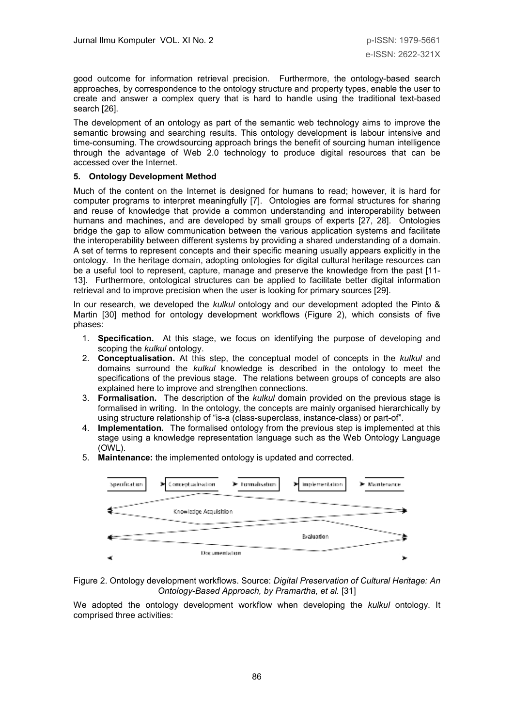good outcome for information retrieval precision. Furthermore, the ontology-based search approaches, by correspondence to the ontology structure and property types, enable the user to create and answer a complex query that is hard to handle using the traditional text-based search [26].

The development of an ontology as part of the semantic web technology aims to improve the semantic browsing and searching results. This ontology development is labour intensive and time-consuming. The crowdsourcing approach brings the benefit of sourcing human intelligence through the advantage of Web 2.0 technology to produce digital resources that can be accessed over the Internet.

### **5. Ontology Development Method**

Much of the content on the Internet is designed for humans to read; however, it is hard for computer programs to interpret meaningfully [7]. Ontologies are formal structures for sharing and reuse of knowledge that provide a common understanding and interoperability between humans and machines, and are developed by small groups of experts [27, 28]. Ontologies bridge the gap to allow communication between the various application systems and facilitate the interoperability between different systems by providing a shared understanding of a domain. A set of terms to represent concepts and their specific meaning usually appears explicitly in the ontology. In the heritage domain, adopting ontologies for digital cultural heritage resources can be a useful tool to represent, capture, manage and preserve the knowledge from the past [11- 13]. Furthermore, ontological structures can be applied to facilitate better digital information retrieval and to improve precision when the user is looking for primary sources [29].

In our research, we developed the *kulkul* ontology and our development adopted the Pinto & Martin [30] method for ontology development workflows (Figure 2), which consists of five phases:

- 1. **Specification.** At this stage, we focus on identifying the purpose of developing and scoping the *kulkul* ontology.
- 2. **Conceptualisation.** At this step, the conceptual model of concepts in the *kulkul* and domains surround the *kulkul* knowledge is described in the ontology to meet the specifications of the previous stage. The relations between groups of concepts are also explained here to improve and strengthen connections.
- 3. **Formalisation.** The description of the *kulkul* domain provided on the previous stage is formalised in writing. In the ontology, the concepts are mainly organised hierarchically by using structure relationship of "is-a (class-superclass, instance-class) or part-of".
- 4. **Implementation.** The formalised ontology from the previous step is implemented at this stage using a knowledge representation language such as the Web Ontology Language (OWL).
- 5. **Maintenance:** the implemented ontology is updated and corrected.



Figure 2. Ontology development workflows. Source: *Digital Preservation of Cultural Heritage: An Ontology-Based Approach, by Pramartha, et al.* [31]

We adopted the ontology development workflow when developing the *kulkul* ontology. It comprised three activities: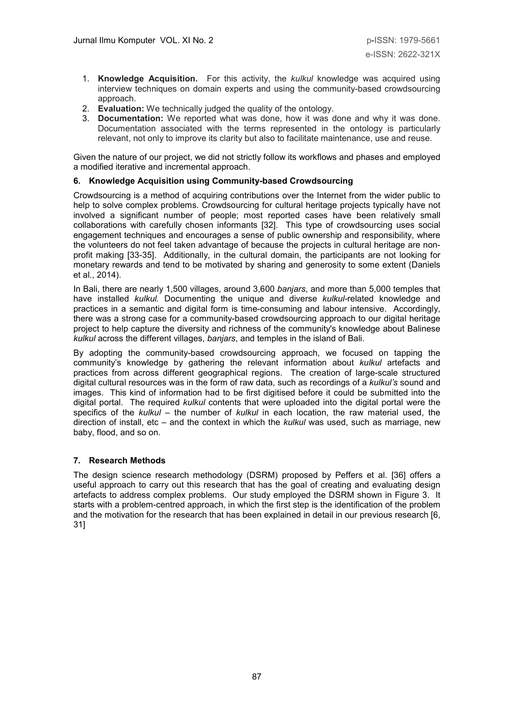- 1. **Knowledge Acquisition.** For this activity, the *kulkul* knowledge was acquired using interview techniques on domain experts and using the community-based crowdsourcing approach.
- 2. **Evaluation:** We technically judged the quality of the ontology.
- 3. **Documentation:** We reported what was done, how it was done and why it was done. Documentation associated with the terms represented in the ontology is particularly relevant, not only to improve its clarity but also to facilitate maintenance, use and reuse.

Given the nature of our project, we did not strictly follow its workflows and phases and employed a modified iterative and incremental approach.

#### **6. Knowledge Acquisition using Community-based Crowdsourcing**

Crowdsourcing is a method of acquiring contributions over the Internet from the wider public to help to solve complex problems. Crowdsourcing for cultural heritage projects typically have not involved a significant number of people; most reported cases have been relatively small collaborations with carefully chosen informants [32]. This type of crowdsourcing uses social engagement techniques and encourages a sense of public ownership and responsibility, where the volunteers do not feel taken advantage of because the projects in cultural heritage are nonprofit making [33-35]. Additionally, in the cultural domain, the participants are not looking for monetary rewards and tend to be motivated by sharing and generosity to some extent (Daniels et al., 2014).

In Bali, there are nearly 1,500 villages, around 3,600 *banjars*, and more than 5,000 temples that have installed *kulkul.* Documenting the unique and diverse *kulkul-*related knowledge and practices in a semantic and digital form is time-consuming and labour intensive. Accordingly, there was a strong case for a community-based crowdsourcing approach to our digital heritage project to help capture the diversity and richness of the community's knowledge about Balinese *kulkul* across the different villages, *banjars*, and temples in the island of Bali.

By adopting the community-based crowdsourcing approach, we focused on tapping the community's knowledge by gathering the relevant information about *kulkul* artefacts and practices from across different geographical regions. The creation of large-scale structured digital cultural resources was in the form of raw data, such as recordings of a *kulkul's* sound and images. This kind of information had to be first digitised before it could be submitted into the digital portal. The required *kulkul* contents that were uploaded into the digital portal were the specifics of the *kulkul* – the number of *kulkul* in each location, the raw material used, the direction of install, etc – and the context in which the *kulkul* was used, such as marriage, new baby, flood, and so on.

## **7. Research Methods**

The design science research methodology (DSRM) proposed by Peffers et al. [36] offers a useful approach to carry out this research that has the goal of creating and evaluating design artefacts to address complex problems. Our study employed the DSRM shown in Figure 3. It starts with a problem-centred approach, in which the first step is the identification of the problem and the motivation for the research that has been explained in detail in our previous research [6, 31]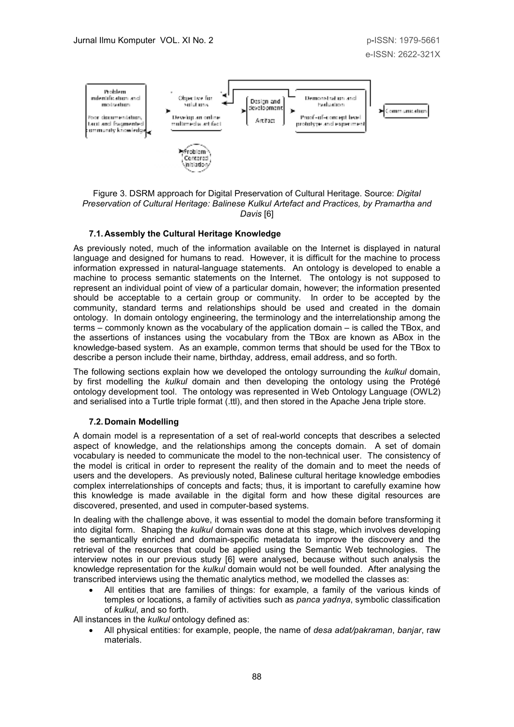

Figure 3. DSRM approach for Digital Preservation of Cultural Heritage. Source: *Digital Preservation of Cultural Heritage: Balinese Kulkul Artefact and Practices, by Pramartha and Davis* [6]

### **7.1. Assembly the Cultural Heritage Knowledge**

As previously noted, much of the information available on the Internet is displayed in natural language and designed for humans to read. However, it is difficult for the machine to process information expressed in natural-language statements. An ontology is developed to enable a machine to process semantic statements on the Internet. The ontology is not supposed to represent an individual point of view of a particular domain, however; the information presented should be acceptable to a certain group or community. In order to be accepted by the community, standard terms and relationships should be used and created in the domain ontology. In domain ontology engineering, the terminology and the interrelationship among the terms – commonly known as the vocabulary of the application domain – is called the TBox, and the assertions of instances using the vocabulary from the TBox are known as ABox in the knowledge-based system. As an example, common terms that should be used for the TBox to describe a person include their name, birthday, address, email address, and so forth.

The following sections explain how we developed the ontology surrounding the *kulkul* domain, by first modelling the *kulkul* domain and then developing the ontology using the Protégé ontology development tool. The ontology was represented in Web Ontology Language (OWL2) and serialised into a Turtle triple format (.ttl), and then stored in the Apache Jena triple store.

#### **7.2. Domain Modelling**

A domain model is a representation of a set of real-world concepts that describes a selected aspect of knowledge, and the relationships among the concepts domain. A set of domain vocabulary is needed to communicate the model to the non-technical user. The consistency of the model is critical in order to represent the reality of the domain and to meet the needs of users and the developers. As previously noted, Balinese cultural heritage knowledge embodies complex interrelationships of concepts and facts; thus, it is important to carefully examine how this knowledge is made available in the digital form and how these digital resources are discovered, presented, and used in computer-based systems.

In dealing with the challenge above, it was essential to model the domain before transforming it into digital form. Shaping the *kulkul* domain was done at this stage, which involves developing the semantically enriched and domain-specific metadata to improve the discovery and the retrieval of the resources that could be applied using the Semantic Web technologies. The interview notes in our previous study [6] were analysed, because without such analysis the knowledge representation for the *kulkul* domain would not be well founded. After analysing the transcribed interviews using the thematic analytics method, we modelled the classes as:

All entities that are families of things: for example, a family of the various kinds of temples or locations, a family of activities such as *panca yadnya*, symbolic classification of *kulkul*, and so forth.

All instances in the *kulkul* ontology defined as:

• All physical entities: for example, people, the name of *desa adat/pakraman*, *banjar*, raw materials.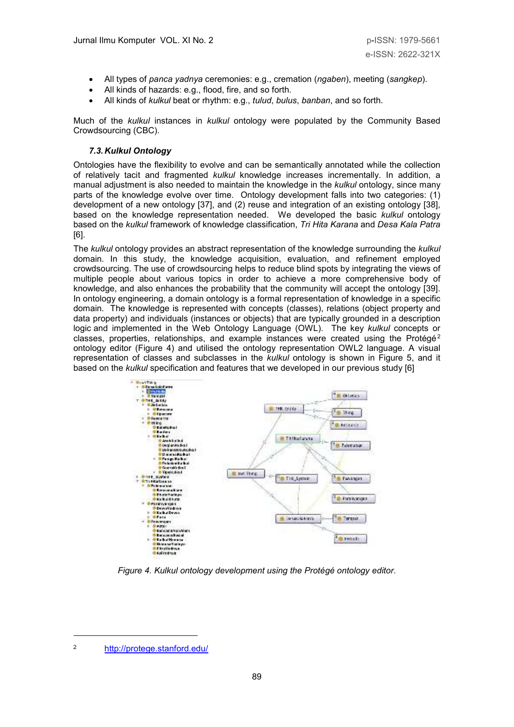- All types of *panca yadnya* ceremonies: e.g., cremation (*ngaben*), meeting (*sangkep*).
- All kinds of hazards: e.g., flood, fire, and so forth.
- All kinds of *kulkul* beat or rhythm: e.g., *tulud*, *bulus*, *banban*, and so forth.

Much of the *kulkul* instances in *kulkul* ontology were populated by the Community Based Crowdsourcing (CBC).

# *7.3. Kulkul Ontology*

Ontologies have the flexibility to evolve and can be semantically annotated while the collection of relatively tacit and fragmented *kulkul* knowledge increases incrementally. In addition, a manual adjustment is also needed to maintain the knowledge in the *kulkul* ontology, since many parts of the knowledge evolve over time. Ontology development falls into two categories: (1) development of a new ontology [37], and (2) reuse and integration of an existing ontology [38], based on the knowledge representation needed. We developed the basic *kulkul* ontology based on the *kulkul* framework of knowledge classification, *Tri Hita Karana* and *Desa Kala Patra* [6].

The *kulkul* ontology provides an abstract representation of the knowledge surrounding the *kulkul* domain. In this study, the knowledge acquisition, evaluation, and refinement employed crowdsourcing. The use of crowdsourcing helps to reduce blind spots by integrating the views of multiple people about various topics in order to achieve a more comprehensive body of knowledge, and also enhances the probability that the community will accept the ontology [39]. In ontology engineering, a domain ontology is a formal representation of knowledge in a specific domain. The knowledge is represented with concepts (classes), relations (object property and data property) and individuals (instances or objects) that are typically grounded in a description logic and implemented in the Web Ontology Language (OWL). The key *kulkul* concepts or classes, properties, relationships, and example instances were created using the Protégé<sup>2</sup> ontology editor (Figure 4) and utilised the ontology representation OWL2 language. A visual representation of classes and subclasses in the *kulkul* ontology is shown in Figure 5, and it based on the *kulkul* specification and features that we developed in our previous study [6]



*Figure 4. Kulkul ontology development using the Protégé ontology editor.* 

-

<sup>2</sup> http://protege.stanford.edu/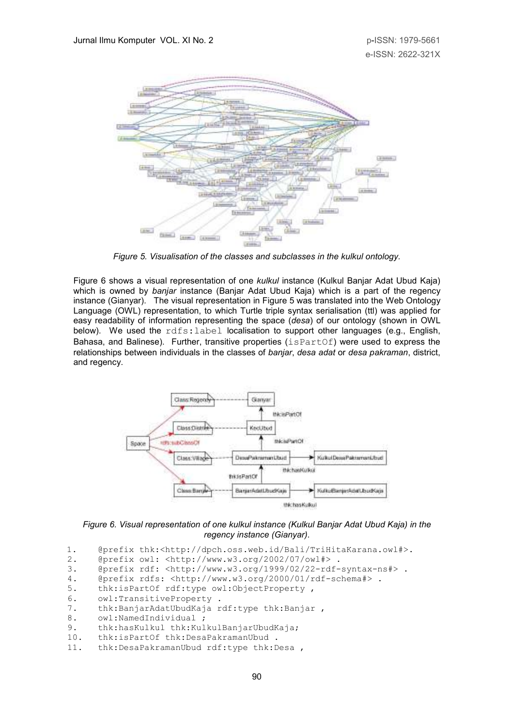

*Figure 5. Visualisation of the classes and subclasses in the kulkul ontology.* 

Figure 6 shows a visual representation of one *kulkul* instance (Kulkul Banjar Adat Ubud Kaja) which is owned by *banjar* instance (Banjar Adat Ubud Kaja) which is a part of the regency instance (Gianyar). The visual representation in Figure 5 was translated into the Web Ontology Language (OWL) representation, to which Turtle triple syntax serialisation (ttl) was applied for easy readability of information representing the space (*desa*) of our ontology (shown in OWL below). We used the rdfs: label localisation to support other languages (e.g., English, Bahasa, and Balinese). Further, transitive properties (isPartOf) were used to express the relationships between individuals in the classes of *banjar*, *desa adat* or *desa pakraman*, district, and regency.



*Figure 6. Visual representation of one kulkul instance (Kulkul Banjar Adat Ubud Kaja) in the regency instance (Gianyar).* 

```
1. @prefix thk:<http://dpch.oss.web.id/Bali/TriHitaKarana.owl#>.
```

```
2. @prefix owl: <http://www.w3.org/2002/07/owl#> .
```

```
3. @prefix rdf: <http://www.w3.org/1999/02/22-rdf-syntax-ns#> .
```

```
4. @prefix rdfs: <http://www.w3.org/2000/01/rdf-schema#> .
```

```
5. thk:isPartOf rdf:type owl:ObjectProperty,
```

```
6. owl:TransitiveProperty .
```

```
7. thk:BanjarAdatUbudKaja rdf:type thk:Banjar,
```

```
8. owl:NamedIndividual ;
```
- 9. thk: has Kulkul thk: Kulkul Banjar Ubud Kaja;
- 10. thk:isPartOf thk:DesaPakramanUbud .

```
11. thk:DesaPakramanUbud rdf:type thk:Desa,
```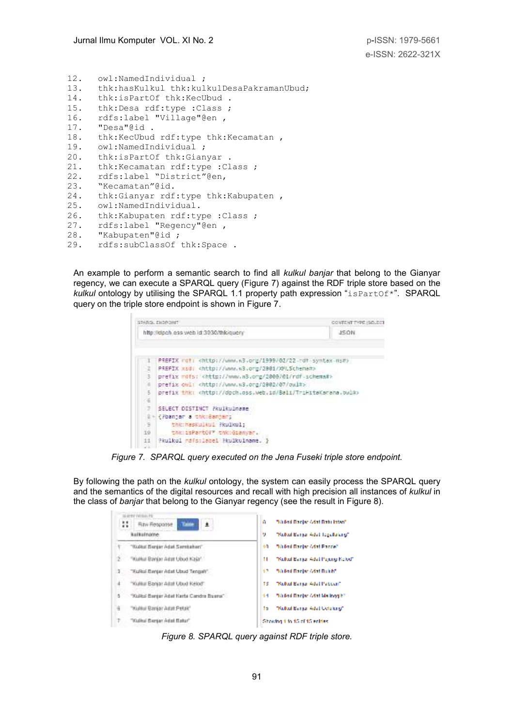```
12. owl:NamedIndividual ; 
13. thk:hasKulkul thk:kulkulDesaPakramanUbud; 
14. thk: isPartOf thk: KecUbud.
15. thk:Desa rdf:type :Class ;
16. rdfs:label "Village"@en , 
17. "Desa"@id . 
18. thk:KecUbud rdf:type thk:Kecamatan,
19. owl:NamedIndividual ; 
20. thk:isPartOf thk:Gianyar . 
21. thk:Kecamatan rdf:type :Class ; 
22. rdfs:label "District"@en, 
23. "Kecamatan"@id. 
24. thk:Gianyar rdf:type thk:Kabupaten , 
25. owl:NamedIndividual. 
26. thk:Kabupaten rdf:type :Class ; 
27. rdfs:label "Regency"@en , 
28. "Kabupaten"@id ; 
29. rdfs:subClassOf thk:Space .
```
An example to perform a semantic search to find all *kulkul banjar* that belong to the Gianyar regency, we can execute a SPARQL query (Figure 7) against the RDF triple store based on the *kulkul* ontology by utilising the SPARQL 1.1 property path expression "isPartOf\*". SPARQL query on the triple store endpoint is shown in Figure 7.

|                                       | SPARG, ENDRONET                                                                      | CONTENT FYPE (SOLDE) |
|---------------------------------------|--------------------------------------------------------------------------------------|----------------------|
| http://doch.oss.web.id:3030/thk/query |                                                                                      | <b>JSON</b>          |
|                                       |                                                                                      |                      |
|                                       | PREFIX rdt: <http: 02="" 1999="" 22-rdt-syntax-ns#y<="" td="" www.w3.org=""></http:> |                      |
| 渓                                     | PREFIX msd: <http: 2001="" www.w3.org="" xmlschemam=""></http:>                      |                      |
| $\sim$ 0.0                            | prefix mots: <http: 01="" 2000="" rdf-schemat="" www.m3.org=""></http:>              |                      |
|                                       | prefix owl: <http: 07="" 2002="" owl#="" www.w3.org=""></http:>                      |                      |
| is.                                   | prefix thk: <http: baii="" dpch.oss.web.id="" trihitaksraha.bula=""></http:>         |                      |
| 宿.                                    | 아이에서 이 집 나이에 대한 사람이 없어 있다. 그런지?                                                      |                      |
| æ                                     | SELECT DISTINCT Pkulkulname                                                          |                      |
| 京下                                    | (Phanjar a chk:Banjar;                                                               |                      |
| -8                                    | thic haskuikui Houikul;                                                              |                      |
| 10                                    | this aspector this diameter.                                                         |                      |
| 11                                    | Pkulkal rdfs:label Hkulkulname.                                                      |                      |
|                                       |                                                                                      |                      |

*Figure 7. SPARQL query executed on the Jena Fuseki triple store endpoint.* 

By following the path on the *kulkul* ontology, the system can easily process the SPARQL query and the semantics of the digital resources and recall with high precision all instances of *kulkul* in the class of *banjar* that belong to the Gianyar regency (see the result in Figure 8).

| 8   | FIRST LETT.<br>allah k<br><b>Tubbe</b><br>÷.<br>Raw Response<br>kalkainome. | n<br>Türked Daniar Adat Datu Intan"<br>Ð<br>"Kulkul Bargar Adal, legallalang" |
|-----|-----------------------------------------------------------------------------|-------------------------------------------------------------------------------|
|     | "Suditor Bergler Adapt Senshahars"                                          | "Kulloui Daniar Adat Pande"<br>10.                                            |
| 200 | "Kulkul Banjar Adult Ubud Kaur"                                             | п<br>"Kulkul Bargar Adal Pajung Kolod"                                        |
| a.  | "Rulko Banter Adat Ubud Tengah".                                            | 12.<br>"Büdeni Banke Adat Buluh"                                              |
|     | "Kulled Banjar Adolf Ubud Kelod"                                            | "Kulkul Bargar Adal Paboun"<br>13                                             |
| õ.  | "Kulikul Barajar Adat Karta Carstos Buana"                                  | "Rüdeni Banjar Adat Malinggib"<br>44.                                         |
| ă.  | "Bulliul Banjar Adul Petait"                                                | "Kultul Barga, Adal Celaturg"<br>ь                                            |
| P.  | "Kudoui Bierdan Adad Babar".                                                | Showing 1 to 15 of 15 entries                                                 |

*Figure 8. SPARQL query against RDF triple store.*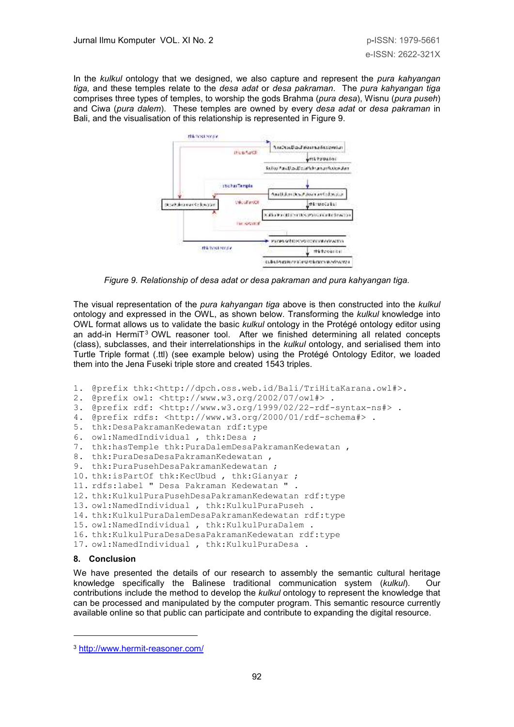In the *kulkul* ontology that we designed, we also capture and represent the *pura kahyangan tiga,* and these temples relate to the *desa adat* or *desa pakraman*. The *pura kahyangan tiga* comprises three types of temples, to worship the gods Brahma (*pura desa*), Wisnu (*pura puseh*) and Ciwa (*pura dalem*). These temples are owned by every *desa adat* or *desa pakraman* in Bali, and the visualisation of this relationship is represented in Figure 9.



*Figure 9. Relationship of desa adat or desa pakraman and pura kahyangan tiga.* 

The visual representation of the *pura kahyangan tiga* above is then constructed into the *kulkul*  ontology and expressed in the OWL, as shown below. Transforming the *kulkul* knowledge into OWL format allows us to validate the basic *kulkul* ontology in the Protégé ontology editor using an add-in HermiT<sup>3</sup> OWL reasoner tool. After we finished determining all related concepts (class), subclasses, and their interrelationships in the *kulkul* ontology, and serialised them into Turtle Triple format (.ttl) (see example below) using the Protégé Ontology Editor, we loaded them into the Jena Fuseki triple store and created 1543 triples.

```
1. @prefix thk:<http://dpch.oss.web.id/Bali/TriHitaKarana.owl#>. 
2. @prefix owl: <http://www.w3.org/2002/07/owl#> . 
3. @prefix rdf: <http://www.w3.org/1999/02/22-rdf-syntax-ns#> . 
4. @prefix rdfs: <http://www.w3.org/2000/01/rdf-schema#> . 
5. thk:DesaPakramanKedewatan rdf:type 
6. owl:NamedIndividual , thk:Desa ; 
7. thk: has Temple thk: PuraDalem DesaPakraman Kedewatan,
8. thk: PuraDesaDesa Pakraman Kedewatan,
9. thk: PuraPuseh Desa Pakraman Kedewatan ;
10. thk: isPartOf thk: KecUbud, thk: Gianyar ;
11. rdfs:label " Desa Pakraman Kedewatan " . 
12. thk:KulkulPuraPusehDesaPakramanKedewatan rdf:type 
13. owl:NamedIndividual , thk:KulkulPuraPuseh . 
14. thk:KulkulPuraDalemDesaPakramanKedewatan rdf:type 
15. owl:NamedIndividual , thk:KulkulPuraDalem . 
16. thk:KulkulPuraDesaDesaPakramanKedewatan rdf:type
```

```
17. owl:NamedIndividual , thk:KulkulPuraDesa .
```
## **8. Conclusion**

-

We have presented the details of our research to assembly the semantic cultural heritage knowledge specifically the Balinese traditional communication system (*kulkul*). Our contributions include the method to develop the *kulkul* ontology to represent the knowledge that can be processed and manipulated by the computer program. This semantic resource currently available online so that public can participate and contribute to expanding the digital resource.

<sup>3</sup> http://www.hermit-reasoner.com/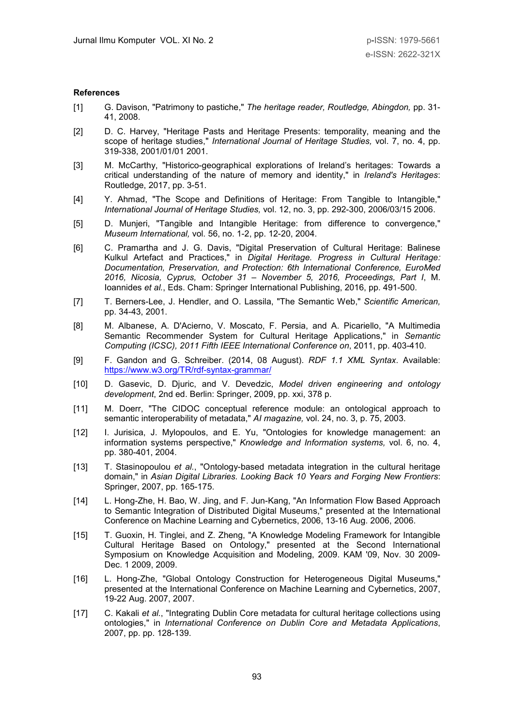#### **References**

- [1] G. Davison, "Patrimony to pastiche," *The heritage reader, Routledge, Abingdon,* pp. 31- 41, 2008.
- [2] D. C. Harvey, "Heritage Pasts and Heritage Presents: temporality, meaning and the scope of heritage studies," *International Journal of Heritage Studies,* vol. 7, no. 4, pp. 319-338, 2001/01/01 2001.
- [3] M. McCarthy, "Historico-geographical explorations of Ireland's heritages: Towards a critical understanding of the nature of memory and identity," in *Ireland's Heritages*: Routledge, 2017, pp. 3-51.
- [4] Y. Ahmad, "The Scope and Definitions of Heritage: From Tangible to Intangible," *International Journal of Heritage Studies,* vol. 12, no. 3, pp. 292-300, 2006/03/15 2006.
- [5] D. Munjeri, "Tangible and Intangible Heritage: from difference to convergence," *Museum International,* vol. 56, no. 1-2, pp. 12-20, 2004.
- [6] C. Pramartha and J. G. Davis, "Digital Preservation of Cultural Heritage: Balinese Kulkul Artefact and Practices," in *Digital Heritage. Progress in Cultural Heritage: Documentation, Preservation, and Protection: 6th International Conference, EuroMed 2016, Nicosia, Cyprus, October 31 – November 5, 2016, Proceedings, Part I*, M. Ioannides *et al.*, Eds. Cham: Springer International Publishing, 2016, pp. 491-500.
- [7] T. Berners-Lee, J. Hendler, and O. Lassila, "The Semantic Web," *Scientific American,*  pp. 34-43, 2001.
- [8] M. Albanese, A. D'Acierno, V. Moscato, F. Persia, and A. Picariello, "A Multimedia Semantic Recommender System for Cultural Heritage Applications," in *Semantic Computing (ICSC), 2011 Fifth IEEE International Conference on*, 2011, pp. 403-410.
- [9] F. Gandon and G. Schreiber. (2014, 08 August). *RDF 1.1 XML Syntax*. Available: https://www.w3.org/TR/rdf-syntax-grammar/
- [10] D. Gasevic, D. Djuric, and V. Devedzic, *Model driven engineering and ontology development*, 2nd ed. Berlin: Springer, 2009, pp. xxi, 378 p.
- [11] M. Doerr, "The CIDOC conceptual reference module: an ontological approach to semantic interoperability of metadata," *AI magazine,* vol. 24, no. 3, p. 75, 2003.
- [12] I. Jurisica, J. Mylopoulos, and E. Yu, "Ontologies for knowledge management: an information systems perspective," *Knowledge and Information systems,* vol. 6, no. 4, pp. 380-401, 2004.
- [13] T. Stasinopoulou *et al.*, "Ontology-based metadata integration in the cultural heritage domain," in *Asian Digital Libraries. Looking Back 10 Years and Forging New Frontiers*: Springer, 2007, pp. 165-175.
- [14] L. Hong-Zhe, H. Bao, W. Jing, and F. Jun-Kang, "An Information Flow Based Approach to Semantic Integration of Distributed Digital Museums," presented at the International Conference on Machine Learning and Cybernetics, 2006, 13-16 Aug. 2006, 2006.
- [15] T. Guoxin, H. Tinglei, and Z. Zheng, "A Knowledge Modeling Framework for Intangible Cultural Heritage Based on Ontology," presented at the Second International Symposium on Knowledge Acquisition and Modeling, 2009. KAM '09, Nov. 30 2009- Dec. 1 2009, 2009.
- [16] L. Hong-Zhe, "Global Ontology Construction for Heterogeneous Digital Museums," presented at the International Conference on Machine Learning and Cybernetics, 2007, 19-22 Aug. 2007, 2007.
- [17] C. Kakali *et al.*, "Integrating Dublin Core metadata for cultural heritage collections using ontologies," in *International Conference on Dublin Core and Metadata Applications*, 2007, pp. pp. 128-139.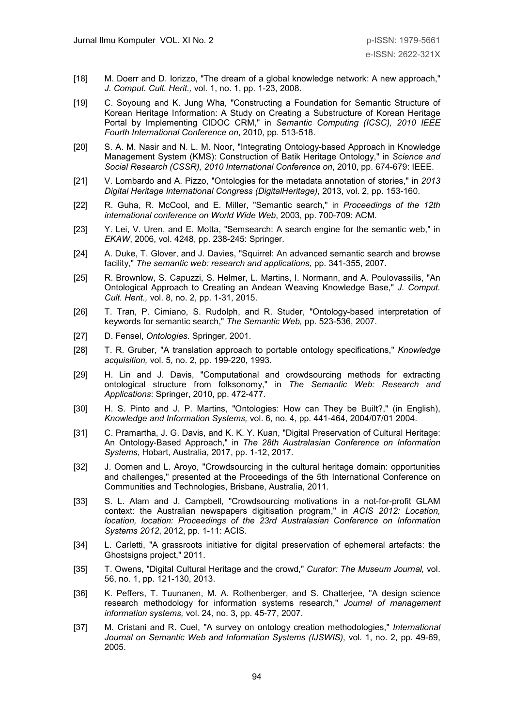- [18] M. Doerr and D. Iorizzo, "The dream of a global knowledge network: A new approach," *J. Comput. Cult. Herit.,* vol. 1, no. 1, pp. 1-23, 2008.
- [19] C. Soyoung and K. Jung Wha, "Constructing a Foundation for Semantic Structure of Korean Heritage Information: A Study on Creating a Substructure of Korean Heritage Portal by Implementing CIDOC CRM," in *Semantic Computing (ICSC), 2010 IEEE Fourth International Conference on*, 2010, pp. 513-518.
- [20] S. A. M. Nasir and N. L. M. Noor, "Integrating Ontology-based Approach in Knowledge Management System (KMS): Construction of Batik Heritage Ontology," in *Science and Social Research (CSSR), 2010 International Conference on*, 2010, pp. 674-679: IEEE.
- [21] V. Lombardo and A. Pizzo, "Ontologies for the metadata annotation of stories," in *2013 Digital Heritage International Congress (DigitalHeritage)*, 2013, vol. 2, pp. 153-160.
- [22] R. Guha, R. McCool, and E. Miller, "Semantic search," in *Proceedings of the 12th international conference on World Wide Web*, 2003, pp. 700-709: ACM.
- [23] Y. Lei, V. Uren, and E. Motta, "Semsearch: A search engine for the semantic web," in *EKAW*, 2006, vol. 4248, pp. 238-245: Springer.
- [24] A. Duke, T. Glover, and J. Davies, "Squirrel: An advanced semantic search and browse facility," *The semantic web: research and applications,* pp. 341-355, 2007.
- [25] R. Brownlow, S. Capuzzi, S. Helmer, L. Martins, I. Normann, and A. Poulovassilis, "An Ontological Approach to Creating an Andean Weaving Knowledge Base," *J. Comput. Cult. Herit.,* vol. 8, no. 2, pp. 1-31, 2015.
- [26] T. Tran, P. Cimiano, S. Rudolph, and R. Studer, "Ontology-based interpretation of keywords for semantic search," *The Semantic Web,* pp. 523-536, 2007.
- [27] D. Fensel, *Ontologies*. Springer, 2001.
- [28] T. R. Gruber, "A translation approach to portable ontology specifications," *Knowledge acquisition,* vol. 5, no. 2, pp. 199-220, 1993.
- [29] H. Lin and J. Davis, "Computational and crowdsourcing methods for extracting ontological structure from folksonomy," in *The Semantic Web: Research and Applications*: Springer, 2010, pp. 472-477.
- [30] H. S. Pinto and J. P. Martins, "Ontologies: How can They be Built?," (in English), *Knowledge and Information Systems,* vol. 6, no. 4, pp. 441-464, 2004/07/01 2004.
- [31] C. Pramartha, J. G. Davis, and K. K. Y. Kuan, "Digital Preservation of Cultural Heritage: An Ontology-Based Approach," in *The 28th Australasian Conference on Information Systems*, Hobart, Australia, 2017, pp. 1-12, 2017.
- [32] J. Oomen and L. Aroyo, "Crowdsourcing in the cultural heritage domain: opportunities and challenges," presented at the Proceedings of the 5th International Conference on Communities and Technologies, Brisbane, Australia, 2011.
- [33] S. L. Alam and J. Campbell, "Crowdsourcing motivations in a not-for-profit GLAM context: the Australian newspapers digitisation program," in *ACIS 2012: Location, location, location: Proceedings of the 23rd Australasian Conference on Information Systems 2012*, 2012, pp. 1-11: ACIS.
- [34] L. Carletti, "A grassroots initiative for digital preservation of ephemeral artefacts: the Ghostsigns project," 2011.
- [35] T. Owens, "Digital Cultural Heritage and the crowd," *Curator: The Museum Journal,* vol. 56, no. 1, pp. 121-130, 2013.
- [36] K. Peffers, T. Tuunanen, M. A. Rothenberger, and S. Chatterjee, "A design science research methodology for information systems research," *Journal of management information systems,* vol. 24, no. 3, pp. 45-77, 2007.
- [37] M. Cristani and R. Cuel, "A survey on ontology creation methodologies," *International Journal on Semantic Web and Information Systems (IJSWIS),* vol. 1, no. 2, pp. 49-69, 2005.